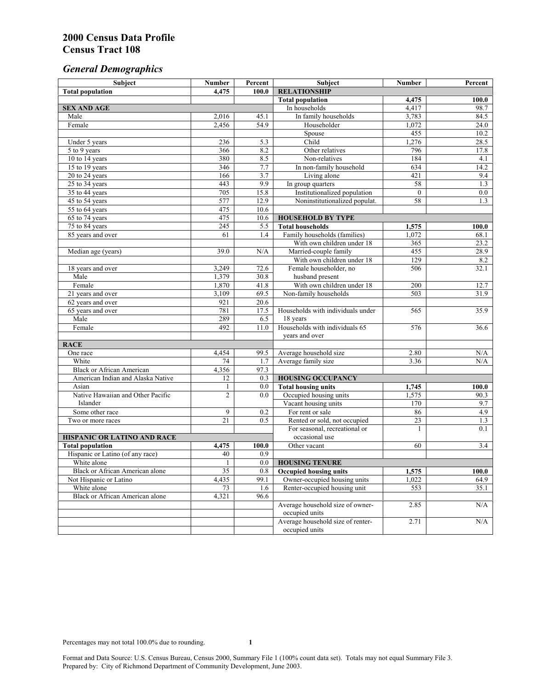# *General Demographics*

| Subject                           | <b>Number</b>  | Percent | Subject                                             | <b>Number</b>   | Percent      |
|-----------------------------------|----------------|---------|-----------------------------------------------------|-----------------|--------------|
| <b>Total population</b>           | 4,475          | 100.0   | <b>RELATIONSHIP</b>                                 |                 |              |
|                                   |                |         | <b>Total population</b>                             | 4,475           | 100.0        |
| <b>SEX AND AGE</b>                |                |         | In households                                       | 4,417           | 98.7         |
| Male                              | 2,016          | 45.1    | In family households                                | 3,783           | 84.5         |
| Female                            | 2,456          | 54.9    | Householder                                         | 1,072           | 24.0         |
|                                   |                |         | Spouse                                              | 455             | 10.2         |
| Under 5 years                     | 236            | 5.3     | Child                                               | 1,276           | 28.5         |
| 5 to 9 years                      | 366            | 8.2     | Other relatives                                     | 796             | 17.8         |
| 10 to 14 years                    | 380            | 8.5     | Non-relatives                                       | 184             | 4.1          |
| 15 to 19 years                    | 346            | 7.7     | In non-family household                             | 634             | 14.2         |
| 20 to 24 years                    | 166            | 3.7     | Living alone                                        | 421             | 9.4          |
| $25 \text{ to } 34$ years         | 443            | 9.9     | In group quarters                                   | 58              | 1.3          |
| 35 to 44 years                    | 705            | 15.8    | Institutionalized population                        | $\theta$        | 0.0          |
| 45 to 54 years                    | 577            | 12.9    | Noninstitutionalized populat.                       | 58              | 1.3          |
| 55 to 64 years                    | 475            | 10.6    |                                                     |                 |              |
| 65 to 74 years                    | 475            | 10.6    | <b>HOUSEHOLD BY TYPE</b>                            |                 |              |
| 75 to 84 years                    | 245            | 5.5     | <b>Total households</b>                             | 1,575           | 100.0        |
| 85 years and over                 | 61             | 1.4     | Family households (families)                        | 1,072           | 68.1         |
|                                   | 39.0           | N/A     | With own children under 18<br>Married-couple family | 365<br>455      | 23.2<br>28.9 |
| Median age (years)                |                |         | With own children under 18                          | 129             | 8.2          |
| 18 years and over                 | 3,249          | 72.6    | Female householder, no                              | 506             | 32.1         |
| Male                              | 1,379          | 30.8    | husband present                                     |                 |              |
| Female                            | 1,870          | 41.8    | With own children under 18                          | 200             | 12.7         |
| 21 years and over                 | 3,109          | 69.5    | Non-family households                               | 503             | 31.9         |
| 62 years and over                 | 921            | 20.6    |                                                     |                 |              |
| 65 years and over                 | 781            | 17.5    | Households with individuals under                   | 565             | 35.9         |
| Male                              | 289            | 6.5     | 18 years                                            |                 |              |
| Female                            | 492            | 11.0    | Households with individuals 65                      | 576             | 36.6         |
|                                   |                |         | years and over                                      |                 |              |
| <b>RACE</b>                       |                |         |                                                     |                 |              |
| One race                          | 4,454          | 99.5    | Average household size                              | 2.80            | $\rm N/A$    |
| White                             | 74             | 1.7     | Average family size                                 | 3.36            | N/A          |
| <b>Black or African American</b>  | 4,356          | 97.3    |                                                     |                 |              |
| American Indian and Alaska Native | 12             | 0.3     | <b>HOUSING OCCUPANCY</b>                            |                 |              |
| Asian                             | 1              | 0.0     | <b>Total housing units</b>                          | 1,745           | 100.0        |
| Native Hawaiian and Other Pacific | $\overline{c}$ | 0.0     | Occupied housing units                              | 1,575           | 90.3         |
| Islander                          |                |         | Vacant housing units                                | 170             | 9.7          |
| Some other race                   | 9              | 0.2     | For rent or sale                                    | 86              | 4.9          |
| Two or more races                 | 21             | 0.5     | Rented or sold, not occupied                        | $\overline{23}$ | 1.3          |
|                                   |                |         | For seasonal, recreational or                       | 1               | 0.1          |
| HISPANIC OR LATINO AND RACE       |                |         | occasional use                                      |                 |              |
| <b>Total population</b>           | 4,475          | 100.0   | Other vacant                                        | 60              | 3.4          |
| Hispanic or Latino (of any race)  | 40             | 0.9     |                                                     |                 |              |
| White alone                       | 1              | 0.0     | <b>HOUSING TENURE</b>                               |                 |              |
| Black or African American alone   | 35             | 0.8     | <b>Occupied housing units</b>                       | 1,575           | 100.0        |
| Not Hispanic or Latino            | 4,435          | 99.1    | Owner-occupied housing units                        | 1,022           | 64.9         |
| White alone                       | 73             | 1.6     | Renter-occupied housing unit                        | 553             | 35.1         |
| Black or African American alone   | 4,321          | 96.6    |                                                     |                 |              |
|                                   |                |         | Average household size of owner-                    | 2.85            | N/A          |
|                                   |                |         | occupied units                                      |                 |              |
|                                   |                |         | Average household size of renter-                   | 2.71            | N/A          |
|                                   |                |         | occupied units                                      |                 |              |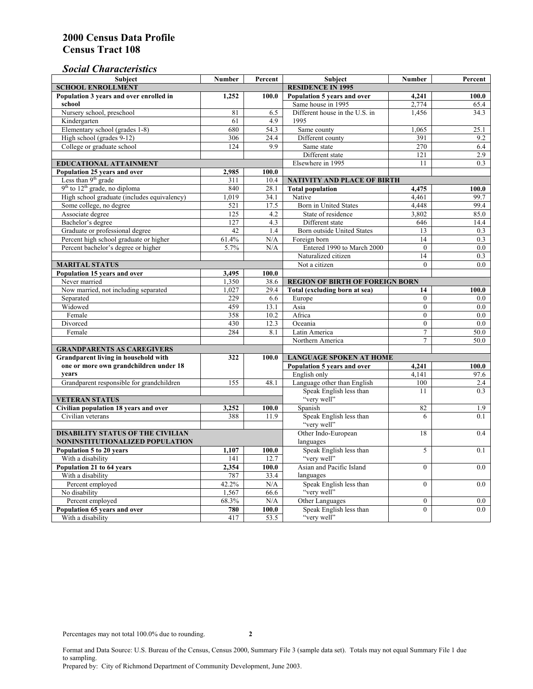## *Social Characteristics*

| <b>Subject</b>                                  | <b>Number</b>            | Percent | <b>Subject</b>                                   | <b>Number</b>    | Percent     |
|-------------------------------------------------|--------------------------|---------|--------------------------------------------------|------------------|-------------|
| <b>SCHOOL ENROLLMENT</b>                        | <b>RESIDENCE IN 1995</b> |         |                                                  |                  |             |
| Population 3 years and over enrolled in         | 1,252                    | 100.0   | Population 5 years and over                      | 4,241            | 100.0       |
| school                                          |                          |         | Same house in 1995                               | 2,774            | 65.4        |
| Nursery school, preschool                       | 81                       | 6.5     | Different house in the U.S. in                   | 1.456            | 34.3        |
| Kindergarten                                    | 61                       | 4.9     | 1995                                             |                  |             |
| Elementary school (grades 1-8)                  | 680                      | 54.3    | Same county                                      | 1,065            | 25.1        |
| High school (grades 9-12)                       | 306                      | 24.4    | Different county                                 | 391              | 9.2         |
| College or graduate school                      | 124                      | 9.9     | Same state                                       | 270              | 6.4         |
|                                                 |                          |         | Different state                                  | 121              | 2.9         |
| <b>EDUCATIONAL ATTAINMENT</b>                   | Elsewhere in 1995        | 11      | 0.3                                              |                  |             |
| Population 25 years and over                    | 2,985                    | 100.0   |                                                  |                  |             |
| Less than 9 <sup>th</sup> grade                 | 311                      | 10.4    | NATIVITY AND PLACE OF BIRTH                      |                  |             |
| $9th$ to $12th$ grade, no diploma               | 840                      | 28.1    | <b>Total population</b>                          | 4,475            | 100.0       |
| High school graduate (includes equivalency)     | 1.019                    | 34.1    | Native                                           | 4.461            | 99.7        |
| Some college, no degree                         | 521                      | 17.5    | <b>Born</b> in United States                     | 4,448            | 99.4        |
| Associate degree                                | 125                      | 4.2     | State of residence                               | 3,802            | 85.0        |
| Bachelor's degree                               | 127                      | 4.3     | Different state                                  | 646              | 14.4        |
| Graduate or professional degree                 | 42                       | 1.4     | Born outside United States                       | 13               | 0.3         |
| Percent high school graduate or higher          | 61.4%                    | N/A     | Foreign born                                     | 14               | 0.3         |
| Percent bachelor's degree or higher             | 5.7%                     | N/A     | Entered 1990 to March 2000                       | $\mathbf{0}$     | 0.0         |
|                                                 |                          |         | Naturalized citizen                              | 14               | 0.3         |
| <b>MARITAL STATUS</b>                           |                          |         | Not a citizen                                    | $\Omega$         | 0.0         |
| Population 15 years and over                    | 3,495                    | 100.0   |                                                  |                  |             |
| Never married                                   | 1,350                    | 38.6    | <b>REGION OF BIRTH OF FOREIGN BORN</b>           |                  |             |
| Now married, not including separated            | 1,027                    | 29.4    | Total (excluding born at sea)                    | 14               | 100.0       |
| Separated                                       | 229                      | 6.6     | Europe                                           | $\overline{0}$   | 0.0         |
| Widowed                                         | 459                      | 13.1    | Asia                                             | $\overline{0}$   | $0.0\,$     |
| Female                                          | 358                      | 10.2    | Africa                                           | $\Omega$         | 0.0         |
| Divorced                                        | 430                      | 12.3    | Oceania                                          | $\Omega$         | 0.0         |
| Female                                          | 284                      | 8.1     | Latin America                                    | $\tau$           | 50.0        |
|                                                 |                          |         | Northern America                                 | $\tau$           | 50.0        |
| <b>GRANDPARENTS AS CAREGIVERS</b>               |                          |         |                                                  |                  |             |
| Grandparent living in household with<br>322     |                          | 100.0   | <b>LANGUAGE SPOKEN AT HOME</b><br>4,241<br>100.0 |                  |             |
| one or more own grandchildren under 18<br>years |                          |         | Population 5 years and over<br>English only      |                  |             |
|                                                 | 155                      | 48.1    | Language other than English                      | 4,141<br>100     | 97.6<br>2.4 |
| Grandparent responsible for grandchildren       |                          |         | Speak English less than                          | 11               | 0.3         |
| <b>VETERAN STATUS</b>                           |                          |         | "very well"                                      |                  |             |
| Civilian population 18 years and over           | 3,252                    | 100.0   | Spanish                                          | 82               | 1.9         |
| Civilian veterans                               | 388                      | 11.9    | Speak English less than                          | 6                | 0.1         |
|                                                 |                          |         | "very well"                                      |                  |             |
| <b>DISABILITY STATUS OF THE CIVILIAN</b>        | Other Indo-European      | 18      | 0.4                                              |                  |             |
| NONINSTITUTIONALIZED POPULATION                 | languages                |         |                                                  |                  |             |
| Population 5 to 20 years<br>1,107<br>100.0      |                          |         | Speak English less than                          | 5                | 0.1         |
| With a disability                               | 141                      | 12.7    | "very well"                                      |                  |             |
| Population 21 to 64 years                       | 2.354                    | 100.0   | Asian and Pacific Island                         | $\theta$         | 0.0         |
| With a disability                               | 787                      | 33.4    | languages                                        |                  |             |
| Percent employed                                | 42.2%                    | N/A     | Speak English less than                          | $\mathbf{0}$     | 0.0         |
| No disability                                   | 1,567                    | 66.6    | "very well"                                      |                  |             |
| Percent employed                                | 68.3%                    | N/A     | Other Languages                                  | $\boldsymbol{0}$ | $0.0\,$     |
| Population 65 years and over                    | 780                      | 100.0   | Speak English less than                          | $\mathbf{0}$     | 0.0         |
| With a disability                               | 417                      | 53.5    | "very well"                                      |                  |             |

Format and Data Source: U.S. Bureau of the Census, Census 2000, Summary File 3 (sample data set). Totals may not equal Summary File 1 due to sampling.

Prepared by: City of Richmond Department of Community Development, June 2003.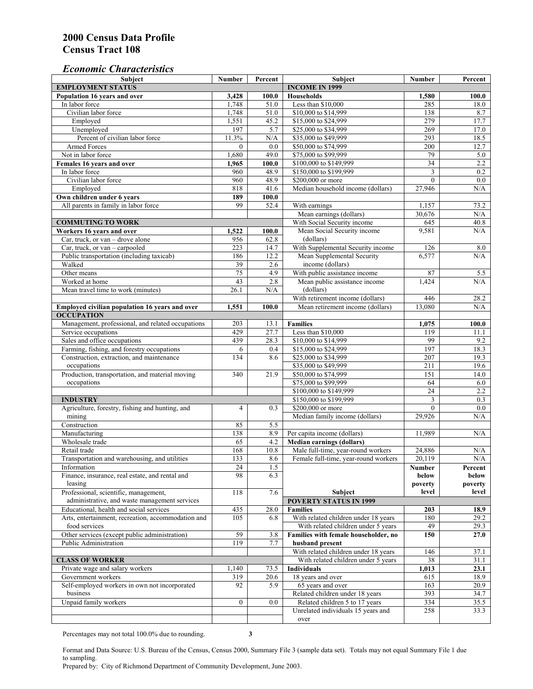#### *Economic Characteristics*

| <b>Subject</b>                                     | Number           | Percent     | <b>Subject</b>                       | <b>Number</b>   | Percent      |
|----------------------------------------------------|------------------|-------------|--------------------------------------|-----------------|--------------|
| <b>EMPLOYMENT STATUS</b>                           |                  |             | <b>INCOME IN 1999</b>                |                 |              |
| Population 16 years and over                       | 3,428            | 100.0       | Households                           | 1,580           | 100.0        |
| In labor force                                     | 1,748            | 51.0        | Less than \$10,000                   | 285             | 18.0         |
| Civilian labor force                               | 1,748            | 51.0        | \$10,000 to \$14,999                 | 138             | 8.7          |
| Employed                                           | 1,551            | 45.2        | \$15,000 to \$24,999                 | 279             | 17.7         |
| Unemployed                                         | 197              | 5.7         | \$25,000 to \$34,999                 | 269             | 17.0         |
| Percent of civilian labor force                    | 11.3%            | $\rm N/A$   | \$35,000 to \$49,999                 | 293             | 18.5         |
| Armed Forces                                       | $\mathbf{0}$     | 0.0         | \$50,000 to \$74,999                 | 200             | 12.7         |
| Not in labor force                                 | 1,680            | 49.0        | \$75,000 to \$99,999                 | 79              | 5.0          |
| Females 16 years and over                          | 1,965            | 100.0       | \$100,000 to \$149,999               | $\overline{34}$ | 2.2          |
| In labor force                                     | 960              | 48.9        | \$150,000 to \$199,999               | 3               | 0.2          |
| Civilian labor force                               | 960              | 48.9        | \$200,000 or more                    | $\mathbf{0}$    | 0.0          |
| Employed                                           | 818              | 41.6        | Median household income (dollars)    | 27,946          | N/A          |
| Own children under 6 years                         | 189              | 100.0       |                                      |                 |              |
| All parents in family in labor force               | 99               | 52.4        | With earnings                        | 1,157           | 73.2         |
|                                                    |                  |             | Mean earnings (dollars)              | 30,676          | N/A          |
| <b>COMMUTING TO WORK</b>                           |                  |             | With Social Security income          | 645             | 40.8         |
| Workers 16 years and over                          | 1,522            | 100.0       | Mean Social Security income          | 9,581           | N/A          |
| Car, truck, or van – drove alone                   | 956              | 62.8        | (dollars)                            |                 |              |
| Car, truck, or van - carpooled                     | 223              | 14.7        | With Supplemental Security income    | 126             | 8.0          |
| Public transportation (including taxicab)          | 186              | 12.2        | Mean Supplemental Security           | 6,577           | N/A          |
| Walked                                             | 39               | 2.6         | income (dollars)                     |                 |              |
| Other means                                        | 75               | 4.9         | With public assistance income        | 87              | 5.5          |
| Worked at home                                     | 43               | 2.8         | Mean public assistance income        | 1,424           | N/A          |
| Mean travel time to work (minutes)                 | 26.1             | N/A         | (dollars)                            |                 |              |
|                                                    |                  |             | With retirement income (dollars)     | 446             | 28.2         |
| Employed civilian population 16 years and over     | 1,551            | 100.0       | Mean retirement income (dollars)     | 13.080          | N/A          |
| <b>OCCUPATION</b>                                  |                  |             |                                      |                 |              |
| Management, professional, and related occupations  | 203              | 13.1        | <b>Families</b>                      | 1,075           | 100.0        |
| Service occupations                                | 429              | 27.7        | Less than \$10,000                   | 119             | 11.1         |
| Sales and office occupations                       | 439              | 28.3        | \$10,000 to \$14,999                 | 99              | 9.2          |
| Farming, fishing, and forestry occupations         | 6                | 0.4         | \$15,000 to \$24,999                 | 197             | 18.3         |
| Construction, extraction, and maintenance          | 134              | 8.6         | \$25,000 to \$34,999                 | 207             | 19.3         |
| occupations                                        |                  |             | \$35,000 to \$49,999                 | 211             | 19.6         |
| Production, transportation, and material moving    | 340              | 21.9        | \$50,000 to \$74,999                 | 151             | 14.0         |
| occupations                                        |                  |             | \$75,000 to \$99,999                 | 64              | 6.0          |
|                                                    |                  |             | \$100,000 to \$149,999               | $\overline{24}$ | 2.2          |
| <b>INDUSTRY</b>                                    |                  |             | \$150,000 to \$199,999               | 3               | 0.3          |
| Agriculture, forestry, fishing and hunting, and    | 4                | 0.3         | \$200,000 or more                    | $\theta$        | 0.0          |
| mining                                             |                  |             | Median family income (dollars)       | 29,926          | N/A          |
| Construction                                       | 85               | 5.5         |                                      |                 |              |
| Manufacturing                                      | 138              | 8.9         | Per capita income (dollars)          | 11,989          | N/A          |
| Wholesale trade                                    | 65               | 4.2         | <b>Median earnings (dollars)</b>     |                 |              |
| Retail trade                                       | 168              | 10.8        | Male full-time, year-round workers   | 24,886          | N/A          |
| Transportation and warehousing, and utilities      | 133              | 8.6         | Female full-time, year-round workers | 20,119          | N/A          |
| Information                                        | 24               | 1.5         |                                      | Number          | Percent      |
| Finance, insurance, real estate, and rental and    | 98               | 6.3         |                                      | below           | below        |
| leasing                                            |                  |             |                                      | poverty         | poverty      |
| Professional, scientific, management,              | 118              | 7.6         | <b>Subject</b>                       | level           | level        |
| administrative, and waste management services      |                  |             | <b>POVERTY STATUS IN 1999</b>        |                 |              |
| Educational, health and social services            | 435              | 28.0        | <b>Families</b>                      | 203             | 18.9         |
| Arts, entertainment, recreation, accommodation and | 105              | 6.8         | With related children under 18 years | 180             | 29.2         |
| food services                                      |                  |             | With related children under 5 years  | 49              | 29.3         |
| Other services (except public administration)      | 59               | 3.8         | Families with female householder, no | 150             | 27.0         |
| <b>Public Administration</b>                       | 119              | 7.7         | husband present                      |                 |              |
|                                                    |                  |             | With related children under 18 years | 146             | 37.1         |
| <b>CLASS OF WORKER</b>                             |                  |             | With related children under 5 years  | 38              | 31.1         |
| Private wage and salary workers                    | 1,140            | 73.5        | Individuals                          | 1,013           | 23.1         |
| Government workers                                 | 319              |             | 18 years and over                    | 615             |              |
| Self-employed workers in own not incorporated      | 92               | 20.6<br>5.9 | 65 years and over                    | 163             | 18.9<br>20.9 |
| business                                           |                  |             | Related children under 18 years      | 393             |              |
| Unpaid family workers                              | $\boldsymbol{0}$ | 0.0         |                                      | 334             | 34.7<br>35.5 |
|                                                    |                  |             | Related children 5 to 17 years       |                 |              |
|                                                    |                  |             | Unrelated individuals 15 years and   | 258             | 33.3         |
|                                                    |                  |             | over                                 |                 |              |

Percentages may not total 100.0% due to rounding. **3** 

Format and Data Source: U.S. Bureau of the Census, Census 2000, Summary File 3 (sample data set). Totals may not equal Summary File 1 due to sampling.

Prepared by: City of Richmond Department of Community Development, June 2003.